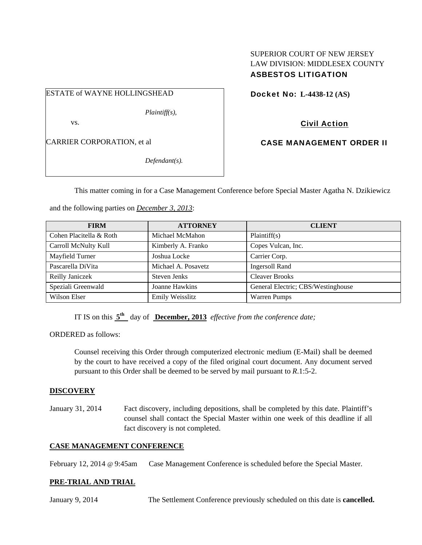## SUPERIOR COURT OF NEW JERSEY LAW DIVISION: MIDDLESEX COUNTY ASBESTOS LITIGATION

ESTATE of WAYNE HOLLINGSHEAD

*Plaintiff(s),* 

vs.

CARRIER CORPORATION, et al

*Defendant(s).* 

Docket No: **L-4438-12 (AS)** 

Civil Action

CASE MANAGEMENT ORDER II

This matter coming in for a Case Management Conference before Special Master Agatha N. Dzikiewicz

and the following parties on *December 3, 2013*:

| <b>FIRM</b>             | <b>ATTORNEY</b>     | <b>CLIENT</b>                      |
|-------------------------|---------------------|------------------------------------|
| Cohen Placitella & Roth | Michael McMahon     | Plaintiff(s)                       |
| Carroll McNulty Kull    | Kimberly A. Franko  | Copes Vulcan, Inc.                 |
| Mayfield Turner         | Joshua Locke        | Carrier Corp.                      |
| Pascarella DiVita       | Michael A. Posavetz | <b>Ingersoll Rand</b>              |
| Reilly Janiczek         | Steven Jenks        | <b>Cleaver Brooks</b>              |
| Speziali Greenwald      | Joanne Hawkins      | General Electric; CBS/Westinghouse |
| Wilson Elser            | Emily Weisslitz     | <b>Warren Pumps</b>                |

IT IS on this **5th** day of **December, 2013** *effective from the conference date;*

ORDERED as follows:

Counsel receiving this Order through computerized electronic medium (E-Mail) shall be deemed by the court to have received a copy of the filed original court document. Any document served pursuant to this Order shall be deemed to be served by mail pursuant to *R*.1:5-2.

### **DISCOVERY**

January 31, 2014 Fact discovery, including depositions, shall be completed by this date. Plaintiff's counsel shall contact the Special Master within one week of this deadline if all fact discovery is not completed.

### **CASE MANAGEMENT CONFERENCE**

February 12, 2014 @ 9:45am Case Management Conference is scheduled before the Special Master.

### **PRE-TRIAL AND TRIAL**

January 9, 2014 The Settlement Conference previously scheduled on this date is **cancelled.**